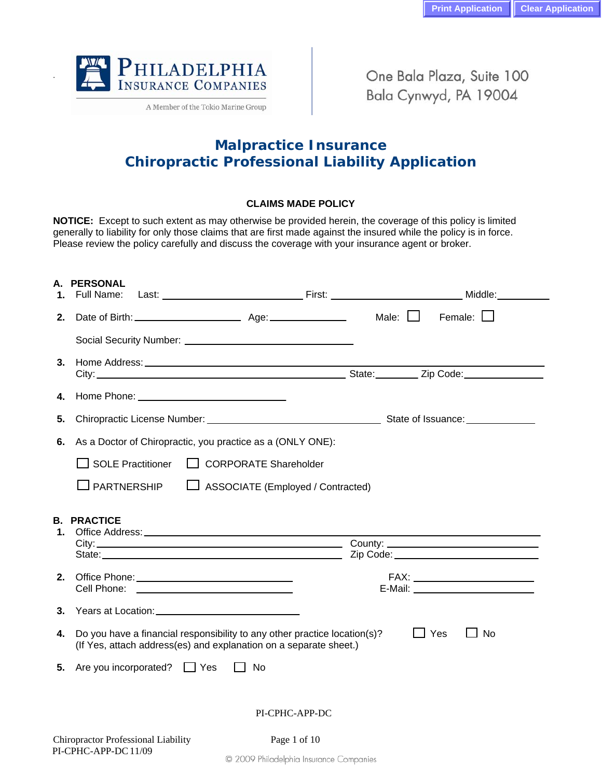

.

A Member of the Tokio Marine Group

One Bala Plaza, Suite 100 Bala Cynwyd, PA 19004

# **Malpractice Insurance Chiropractic Professional Liability Application**

### **CLAIMS MADE POLICY**

**NOTICE:** Except to such extent as may otherwise be provided herein, the coverage of this policy is limited generally to liability for only those claims that are first made against the insured while the policy is in force. Please review the policy carefully and discuss the coverage with your insurance agent or broker.

| А.<br>1. | <b>PERSONAL</b><br>Full Name:              |                                                                                                                                                |                 |                    |
|----------|--------------------------------------------|------------------------------------------------------------------------------------------------------------------------------------------------|-----------------|--------------------|
| 2.       |                                            |                                                                                                                                                | Male: $\square$ | Female: $\Box$     |
|          |                                            |                                                                                                                                                |                 |                    |
| 3.       |                                            |                                                                                                                                                |                 |                    |
| 4.       |                                            |                                                                                                                                                |                 |                    |
| 5.       |                                            |                                                                                                                                                |                 |                    |
| 6.       |                                            | As a Doctor of Chiropractic, you practice as a (ONLY ONE):                                                                                     |                 |                    |
|          | $\Box$ SOLE Practitioner                   | CORPORATE Shareholder                                                                                                                          |                 |                    |
|          | $\sqcup$ PARTNERSHIP                       | ASSOCIATE (Employed / Contracted)                                                                                                              |                 |                    |
| 1.       | <b>B. PRACTICE</b>                         |                                                                                                                                                |                 |                    |
| 2.       | Cell Phone:                                |                                                                                                                                                |                 |                    |
| 3.       |                                            |                                                                                                                                                |                 |                    |
| 4.       |                                            | Do you have a financial responsibility to any other practice location(s)?<br>(If Yes, attach address(es) and explanation on a separate sheet.) |                 | <b>⊥</b> Yes<br>No |
| 5.       | Are you incorporated? $\Box$ Yes           | l I No                                                                                                                                         |                 |                    |
|          |                                            | PI-CPHC-APP-DC                                                                                                                                 |                 |                    |
|          | <b>Chiropractor Professional Liability</b> | Page 1 of 10                                                                                                                                   |                 |                    |

PI-CPHC-APP-DC 11/09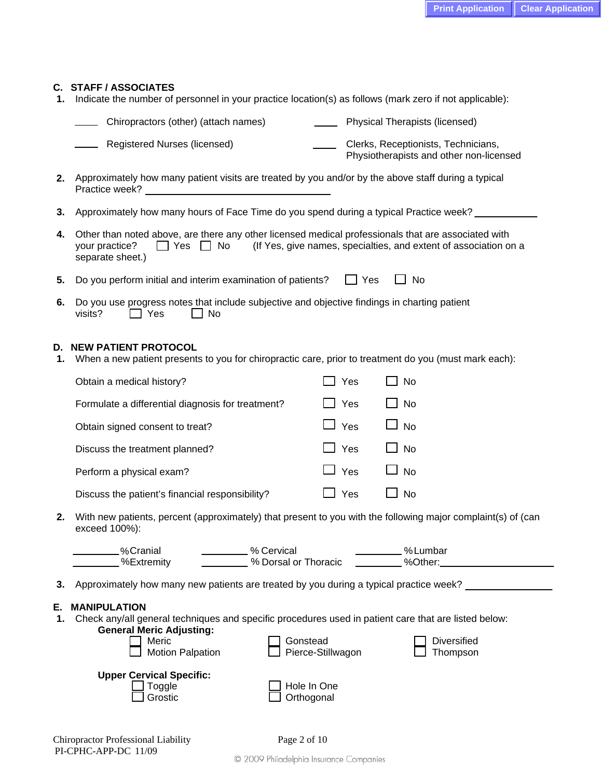### **C. STAFF / ASSOCIATES**

**1.** Indicate the number of personnel in your practice location(s) as follows (mark zero if not applicable):

| Chiropractors (other) (attach names) | $\overline{\phantom{a}}$ | <b>Physical Therapists (licensed)</b> |  |
|--------------------------------------|--------------------------|---------------------------------------|--|
|                                      |                          |                                       |  |

- Registered Nurses (licensed) Clerks, Receptionists, Technicians, Physiotherapists and other non-licensed
- **2.** Approximately how many patient visits are treated by you and/or by the above staff during a typical Practice week?
- **3.** Approximately how many hours of Face Time do you spend during a typical Practice week?
- **4.** Other than noted above, are there any other licensed medical professionals that are associated with your practice?  $\Box$  Yes  $\Box$  No (If Yes, give names, specialties, and extent of association on a separate sheet.)
- **5.** Do you perform initial and interim examination of patients?  $\Box$  Yes  $\Box$  No
- **6.** Do you use progress notes that include subjective and objective findings in charting patient visits?  $\Box$  Yes  $\Box$  No

### **D. NEW PATIENT PROTOCOL**

**1.** When a new patient presents to you for chiropractic care, prior to treatment do you (must mark each):

| Obtain a medical history?                         | l T Yes    | $\Box$ No |
|---------------------------------------------------|------------|-----------|
| Formulate a differential diagnosis for treatment? | $\Box$ Yes | $\Box$ No |
| Obtain signed consent to treat?                   | $\Box$ Yes | $\Box$ No |
| Discuss the treatment planned?                    | $\Box$ Yes | $\Box$ No |
| Perform a physical exam?                          | $\Box$ Yes | $\Box$ No |
| Discuss the patient's financial responsibility?   | $\Box$ Yes | $\Box$ No |

**2.** With new patients, percent (approximately) that present to you with the following major complaint(s) of (can exceed 100%):

| .%Cranial<br>% Cervical<br>%Lumbar<br>%Extremity<br>% Dorsal or Thoracic<br>%Other:                                                                   |
|-------------------------------------------------------------------------------------------------------------------------------------------------------|
| 3. Approximately how many new patients are treated by you during a typical practice week?                                                             |
| E. MANIPULATION<br>1. Check any/all general techniques and specific procedures used in patient care that are listed below:<br>Conoral Morie Adiustina |

| <b>OUTION</b> INCITE AUTUSTING.<br>Meric<br><b>Motion Palpation</b> | Gonstead<br>Pierce-Stillwagon | <b>Diversified</b><br>Thompson |  |
|---------------------------------------------------------------------|-------------------------------|--------------------------------|--|
| <b>Upper Cervical Specific:</b><br>Toggle<br>Grostic                | Hole In One<br>Orthogonal     |                                |  |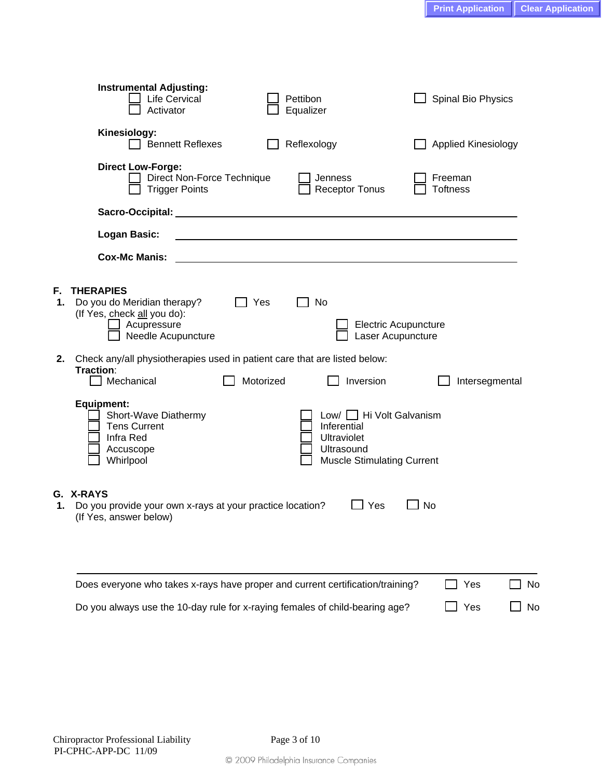|          | <b>Instrumental Adjusting:</b><br>Life Cervical<br>Activator                                                        |           | Pettibon<br>Equalizer                                                                                            | Spinal Bio Physics         |    |
|----------|---------------------------------------------------------------------------------------------------------------------|-----------|------------------------------------------------------------------------------------------------------------------|----------------------------|----|
|          | Kinesiology:<br>$\Box$ Bennett Reflexes                                                                             |           | Reflexology                                                                                                      | <b>Applied Kinesiology</b> |    |
|          | <b>Direct Low-Forge:</b><br>Direct Non-Force Technique<br><b>Trigger Points</b>                                     |           | Jenness<br><b>Receptor Tonus</b>                                                                                 | Freeman<br><b>Toftness</b> |    |
|          |                                                                                                                     |           |                                                                                                                  |                            |    |
|          | <b>Logan Basic:</b>                                                                                                 |           |                                                                                                                  |                            |    |
|          | <b>Cox-Mc Manis:</b>                                                                                                |           |                                                                                                                  |                            |    |
| ٦.<br>1. | <b>THERAPIES</b><br>Do you do Meridian therapy?<br>(If Yes, check all you do):<br>Acupressure<br>Needle Acupuncture | Yes       | No<br><b>Electric Acupuncture</b><br>Laser Acupuncture                                                           |                            |    |
| 2.       | Check any/all physiotherapies used in patient care that are listed below:<br>Traction:<br>Mechanical                | Motorized | Inversion                                                                                                        | Intersegmental             |    |
|          | <b>Equipment:</b><br>Short-Wave Diathermy<br><b>Tens Current</b><br>Infra Red<br>Accuscope<br>Whirlpool             |           | Low/ □ Hi Volt Galvanism<br>Inferential<br><b>Ultraviolet</b><br>Ultrasound<br><b>Muscle Stimulating Current</b> |                            |    |
| 1.       | <b>G. X-RAYS</b><br>Do you provide your own x-rays at your practice location?<br>(If Yes, answer below)             |           | Yes                                                                                                              | <b>No</b>                  |    |
|          | Does everyone who takes x-rays have proper and current certification/training?                                      |           |                                                                                                                  | Yes                        | No |
|          | Do you always use the 10-day rule for x-raying females of child-bearing age?                                        |           |                                                                                                                  | Yes                        | No |

**F. THERAPIES** 

**G.**<br>1.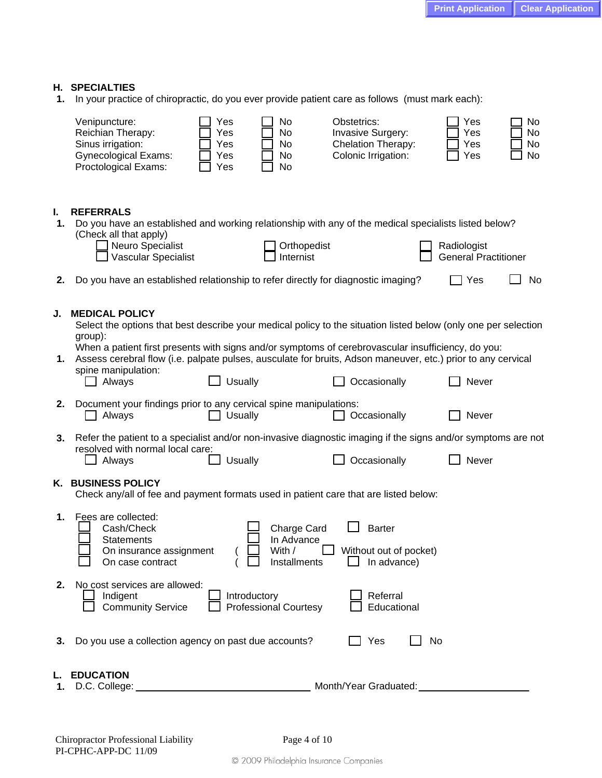### **H. SPECIALTIES**

**1.** In your practice of chiropractic, do you ever provide patient care as follows (must mark each):

|          | Venipuncture:<br>Reichian Therapy:<br>Sinus irrigation:<br><b>Gynecological Exams:</b><br>Proctological Exams:                                                                                                                                      | Yes<br>Yes<br>Yes<br>Yes<br>Yes | No<br>No<br>No<br>No<br>No                          | Obstetrics:<br><b>Invasive Surgery:</b><br>Chelation Therapy:<br>Colonic Irrigation: | Yes<br>Yes<br>Yes<br>Yes                   | No<br>No<br>No<br>No |
|----------|-----------------------------------------------------------------------------------------------------------------------------------------------------------------------------------------------------------------------------------------------------|---------------------------------|-----------------------------------------------------|--------------------------------------------------------------------------------------|--------------------------------------------|----------------------|
| I.<br>1. | <b>REFERRALS</b><br>Do you have an established and working relationship with any of the medical specialists listed below?<br>(Check all that apply)<br>Neuro Specialist<br>Vascular Specialist                                                      |                                 | Orthopedist<br>Internist                            |                                                                                      | Radiologist<br><b>General Practitioner</b> |                      |
| 2.       | Do you have an established relationship to refer directly for diagnostic imaging?                                                                                                                                                                   |                                 |                                                     |                                                                                      | Yes                                        | No                   |
| J.       | <b>MEDICAL POLICY</b><br>Select the options that best describe your medical policy to the situation listed below (only one per selection<br>group):                                                                                                 |                                 |                                                     |                                                                                      |                                            |                      |
| 1.       | When a patient first presents with signs and/or symptoms of cerebrovascular insufficiency, do you:<br>Assess cerebral flow (i.e. palpate pulses, ausculate for bruits, Adson maneuver, etc.) prior to any cervical<br>spine manipulation:<br>Always | <b>Usually</b>                  |                                                     | Occasionally                                                                         | Never                                      |                      |
| 2.       | Document your findings prior to any cervical spine manipulations:<br>Always                                                                                                                                                                         | <b>Usually</b>                  |                                                     | Occasionally                                                                         | Never                                      |                      |
| 3.       | Refer the patient to a specialist and/or non-invasive diagnostic imaging if the signs and/or symptoms are not<br>resolved with normal local care:<br>Always                                                                                         | <b>Usually</b>                  |                                                     | Occasionally                                                                         | Never                                      |                      |
|          | K. BUSINESS POLICY<br>Check any/all of fee and payment formats used in patient care that are listed below:                                                                                                                                          |                                 |                                                     |                                                                                      |                                            |                      |
| 1.       | Fees are collected:<br>Cash/Check<br><b>Statements</b><br>On insurance assignment<br>On case contract                                                                                                                                               | $\Box$                          | Charge Card<br>In Advance<br>With /<br>Installments | <b>Barter</b><br>Without out of pocket)<br>$\Box$ In advance)                        |                                            |                      |
| 2.       | No cost services are allowed:<br>Indigent<br><b>Community Service</b>                                                                                                                                                                               | Introductory                    | <b>Professional Courtesy</b>                        | Referral<br>Educational                                                              |                                            |                      |
| 3.       | Do you use a collection agency on past due accounts?                                                                                                                                                                                                |                                 |                                                     | Yes                                                                                  | No                                         |                      |
| 1.       | <b>EDUCATION</b><br>D.C. College: <b>college: college: college: college: college: college: college: college: college: college: college: college: college: college: college: college: college: college: college:</b>                                 |                                 |                                                     | Month/Year Graduated:                                                                |                                            |                      |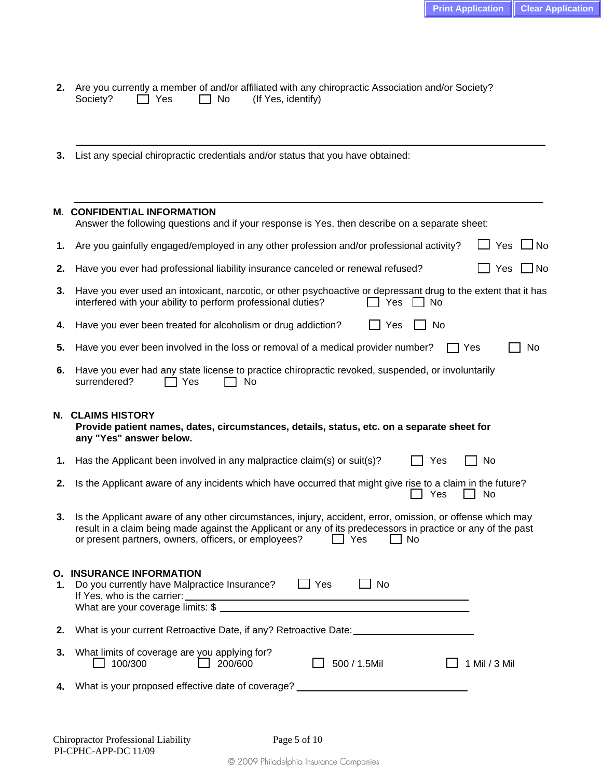$\overline{a}$ 

|                |  | 2. Are you currently a member of and/or affiliated with any chiropractic Association and/or Society? |  |
|----------------|--|------------------------------------------------------------------------------------------------------|--|
| Society?   Yes |  | □ No (If Yes, identify)                                                                              |  |

**3.** List any special chiropractic credentials and/or status that you have obtained:

|    | M. CONFIDENTIAL INFORMATION<br>Answer the following questions and if your response is Yes, then describe on a separate sheet:                                                                                                                                                                   |
|----|-------------------------------------------------------------------------------------------------------------------------------------------------------------------------------------------------------------------------------------------------------------------------------------------------|
| 1. | Yes<br>J No<br>Are you gainfully engaged/employed in any other profession and/or professional activity?                                                                                                                                                                                         |
| 2. | Have you ever had professional liability insurance canceled or renewal refused?<br>Yes<br>$\Box$ No                                                                                                                                                                                             |
| 3. | Have you ever used an intoxicant, narcotic, or other psychoactive or depressant drug to the extent that it has<br>interfered with your ability to perform professional duties?<br>Yes<br>No.                                                                                                    |
| 4. | Have you ever been treated for alcoholism or drug addiction?<br>Yes<br>No                                                                                                                                                                                                                       |
| 5. | Have you ever been involved in the loss or removal of a medical provider number?<br>No<br>Yes                                                                                                                                                                                                   |
| 6. | Have you ever had any state license to practice chiropractic revoked, suspended, or involuntarily<br>surrendered?<br>Yes<br>No                                                                                                                                                                  |
|    | N. CLAIMS HISTORY<br>Provide patient names, dates, circumstances, details, status, etc. on a separate sheet for<br>any "Yes" answer below.                                                                                                                                                      |
| 1. | Has the Applicant been involved in any malpractice claim(s) or suit(s)?<br>No<br>Yes                                                                                                                                                                                                            |
| 2. | Is the Applicant aware of any incidents which have occurred that might give rise to a claim in the future?<br>Yes<br>No                                                                                                                                                                         |
| 3. | Is the Applicant aware of any other circumstances, injury, accident, error, omission, or offense which may<br>result in a claim being made against the Applicant or any of its predecessors in practice or any of the past<br>or present partners, owners, officers, or employees?<br>No<br>Yes |

| О.<br>1. | <b>INSURANCE INFORMATION</b><br>Do you currently have Malpractice Insurance?<br>If Yes, who is the carrier:<br>What are your coverage limits: \$ | Yes | No           |                 |
|----------|--------------------------------------------------------------------------------------------------------------------------------------------------|-----|--------------|-----------------|
| 2.       | What is your current Retroactive Date, if any? Retroactive Date:                                                                                 |     |              |                 |
| 3.       | What limits of coverage are you applying for?<br>200/600<br>100/300                                                                              |     | 500 / 1.5Mil | 1 Mil $/$ 3 Mil |
| 4.       | What is your proposed effective date of coverage?                                                                                                |     |              |                 |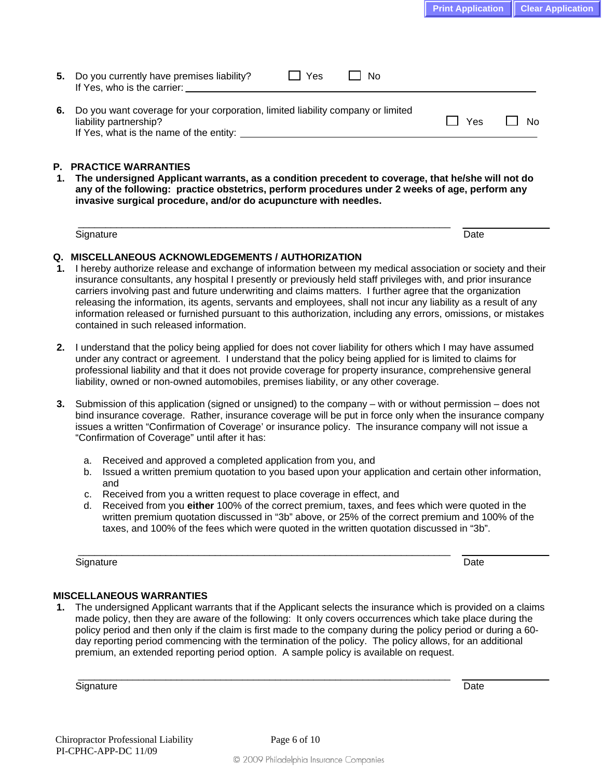**6.** Do you want coverage for your corporation, limited liability company or limited  $\Box$  Yes  $\Box$  No If Yes, what is the name of the entity:

### **P. PRACTICE WARRANTIES**

If Yes, who is the carrier:

**1. The undersigned Applicant warrants, as a condition precedent to coverage, that he/she will not do any of the following: practice obstetrics, perform procedures under 2 weeks of age, perform any invasive surgical procedure, and/or do acupuncture with needles.** 

Signature Date Date of the Contract of the Contract of the Contract of the Date Date Date Date

# $\overline{\phantom{a}}$  , and the contribution of the contribution of the contribution of the contribution of the contribution of the contribution of the contribution of the contribution of the contribution of the contribution of the

### **Q. MISCELLANEOUS ACKNOWLEDGEMENTS / AUTHORIZATION**

**5.** Do you currently have premises liability?  $\Box$  Yes  $\Box$  No

- **1.** I hereby authorize release and exchange of information between my medical association or society and their insurance consultants, any hospital I presently or previously held staff privileges with, and prior insurance carriers involving past and future underwriting and claims matters. I further agree that the organization releasing the information, its agents, servants and employees, shall not incur any liability as a result of any information released or furnished pursuant to this authorization, including any errors, omissions, or mistakes contained in such released information.
- **2.** I understand that the policy being applied for does not cover liability for others which I may have assumed under any contract or agreement. I understand that the policy being applied for is limited to claims for professional liability and that it does not provide coverage for property insurance, comprehensive general liability, owned or non-owned automobiles, premises liability, or any other coverage.
- **3.** Submission of this application (signed or unsigned) to the company with or without permission does not bind insurance coverage. Rather, insurance coverage will be put in force only when the insurance company issues a written "Confirmation of Coverage' or insurance policy. The insurance company will not issue a "Confirmation of Coverage" until after it has:
	- a. Received and approved a completed application from you, and
	- b. Issued a written premium quotation to you based upon your application and certain other information, and
	- c. Received from you a written request to place coverage in effect, and
	- d. Received from you **either** 100% of the correct premium, taxes, and fees which were quoted in the written premium quotation discussed in "3b" above, or 25% of the correct premium and 100% of the taxes, and 100% of the fees which were quoted in the written quotation discussed in "3b".

Signature Date Date of the Contract of the Contract of the Contract of the Date Date Date Date

 $\overline{\phantom{a}}$  ,  $\overline{\phantom{a}}$  ,  $\overline{\phantom{a}}$  ,  $\overline{\phantom{a}}$  ,  $\overline{\phantom{a}}$  ,  $\overline{\phantom{a}}$  ,  $\overline{\phantom{a}}$  ,  $\overline{\phantom{a}}$  ,  $\overline{\phantom{a}}$  ,  $\overline{\phantom{a}}$  ,  $\overline{\phantom{a}}$  ,  $\overline{\phantom{a}}$  ,  $\overline{\phantom{a}}$  ,  $\overline{\phantom{a}}$  ,  $\overline{\phantom{a}}$  ,  $\overline{\phantom{a}}$ 

\_\_\_\_\_\_\_\_\_\_\_\_\_\_\_\_\_\_\_\_\_\_\_\_\_\_\_\_\_\_\_\_\_\_\_\_\_\_\_\_\_\_\_\_\_\_\_\_\_\_\_\_\_\_\_\_\_\_\_\_\_\_\_\_\_\_\_\_

### **MISCELLANEOUS WARRANTIES**

**1.** The undersigned Applicant warrants that if the Applicant selects the insurance which is provided on a claims made policy, then they are aware of the following: It only covers occurrences which take place during the policy period and then only if the claim is first made to the company during the policy period or during a 60 day reporting period commencing with the termination of the policy. The policy allows, for an additional premium, an extended reporting period option. A sample policy is available on request.

Signature Date Date of the Date of the Date of the Date of the Date of the Date of the Date of the Date of the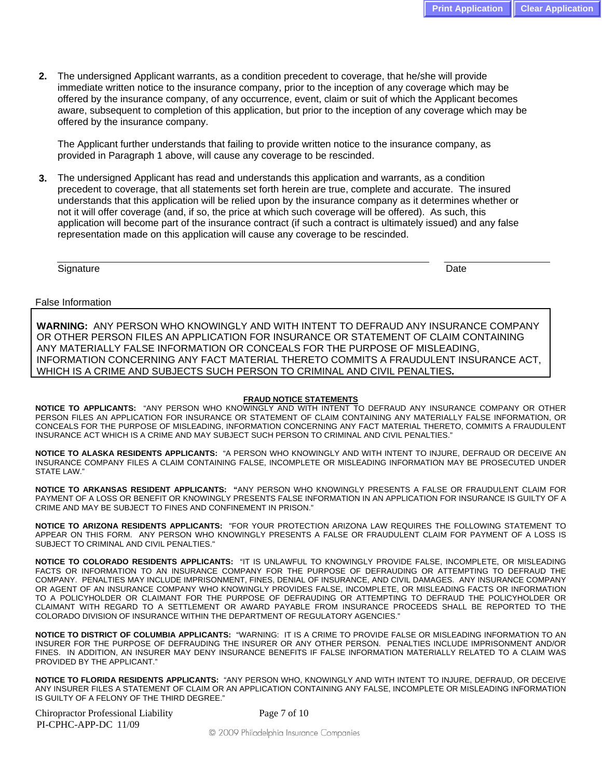**2.** The undersigned Applicant warrants, as a condition precedent to coverage, that he/she will provide immediate written notice to the insurance company, prior to the inception of any coverage which may be offered by the insurance company, of any occurrence, event, claim or suit of which the Applicant becomes aware, subsequent to completion of this application, but prior to the inception of any coverage which may be offered by the insurance company.

The Applicant further understands that failing to provide written notice to the insurance company, as provided in Paragraph 1 above, will cause any coverage to be rescinded.

**3.** The undersigned Applicant has read and understands this application and warrants, as a condition precedent to coverage, that all statements set forth herein are true, complete and accurate. The insured understands that this application will be relied upon by the insurance company as it determines whether or not it will offer coverage (and, if so, the price at which such coverage will be offered). As such, this application will become part of the insurance contract (if such a contract is ultimately issued) and any false representation made on this application will cause any coverage to be rescinded.

Signature Date Date of the Contract of the Contract of the Contract of the Date Date Date Date

 $\overline{a}$ 

False Information

**WARNING:** ANY PERSON WHO KNOWINGLY AND WITH INTENT TO DEFRAUD ANY INSURANCE COMPANY OR OTHER PERSON FILES AN APPLICATION FOR INSURANCE OR STATEMENT OF CLAIM CONTAINING ANY MATERIALLY FALSE INFORMATION OR CONCEALS FOR THE PURPOSE OF MISLEADING, INFORMATION CONCERNING ANY FACT MATERIAL THERETO COMMITS A FRAUDULENT INSURANCE ACT, WHICH IS A CRIME AND SUBJECTS SUCH PERSON TO CRIMINAL AND CIVIL PENALTIES**.**

#### **FRAUD NOTICE STATEMENTS**

**NOTICE TO APPLICANTS:** "ANY PERSON WHO KNOWINGLY AND WITH INTENT TO DEFRAUD ANY INSURANCE COMPANY OR OTHER PERSON FILES AN APPLICATION FOR INSURANCE OR STATEMENT OF CLAIM CONTAINING ANY MATERIALLY FALSE INFORMATION, OR CONCEALS FOR THE PURPOSE OF MISLEADING, INFORMATION CONCERNING ANY FACT MATERIAL THERETO, COMMITS A FRAUDULENT INSURANCE ACT WHICH IS A CRIME AND MAY SUBJECT SUCH PERSON TO CRIMINAL AND CIVIL PENALTIES."

**NOTICE TO ALASKA RESIDENTS APPLICANTS:** "A PERSON WHO KNOWINGLY AND WITH INTENT TO INJURE, DEFRAUD OR DECEIVE AN INSURANCE COMPANY FILES A CLAIM CONTAINING FALSE, INCOMPLETE OR MISLEADING INFORMATION MAY BE PROSECUTED UNDER STATE LAW."

**NOTICE TO ARKANSAS RESIDENT APPLICANTS: "**ANY PERSON WHO KNOWINGLY PRESENTS A FALSE OR FRAUDULENT CLAIM FOR PAYMENT OF A LOSS OR BENEFIT OR KNOWINGLY PRESENTS FALSE INFORMATION IN AN APPLICATION FOR INSURANCE IS GUILTY OF A CRIME AND MAY BE SUBJECT TO FINES AND CONFINEMENT IN PRISON."

**NOTICE TO ARIZONA RESIDENTS APPLICANTS:** "FOR YOUR PROTECTION ARIZONA LAW REQUIRES THE FOLLOWING STATEMENT TO APPEAR ON THIS FORM. ANY PERSON WHO KNOWINGLY PRESENTS A FALSE OR FRAUDULENT CLAIM FOR PAYMENT OF A LOSS IS SUBJECT TO CRIMINAL AND CIVIL PENALTIES."

**NOTICE TO COLORADO RESIDENTS APPLICANTS:** "IT IS UNLAWFUL TO KNOWINGLY PROVIDE FALSE, INCOMPLETE, OR MISLEADING FACTS OR INFORMATION TO AN INSURANCE COMPANY FOR THE PURPOSE OF DEFRAUDING OR ATTEMPTING TO DEFRAUD THE COMPANY. PENALTIES MAY INCLUDE IMPRISONMENT, FINES, DENIAL OF INSURANCE, AND CIVIL DAMAGES. ANY INSURANCE COMPANY OR AGENT OF AN INSURANCE COMPANY WHO KNOWINGLY PROVIDES FALSE, INCOMPLETE, OR MISLEADING FACTS OR INFORMATION TO A POLICYHOLDER OR CLAIMANT FOR THE PURPOSE OF DEFRAUDING OR ATTEMPTING TO DEFRAUD THE POLICYHOLDER OR CLAIMANT WITH REGARD TO A SETTLEMENT OR AWARD PAYABLE FROM INSURANCE PROCEEDS SHALL BE REPORTED TO THE COLORADO DIVISION OF INSURANCE WITHIN THE DEPARTMENT OF REGULATORY AGENCIES."

**NOTICE TO DISTRICT OF COLUMBIA APPLICANTS:** "WARNING: IT IS A CRIME TO PROVIDE FALSE OR MISLEADING INFORMATION TO AN INSURER FOR THE PURPOSE OF DEFRAUDING THE INSURER OR ANY OTHER PERSON. PENALTIES INCLUDE IMPRISONMENT AND/OR FINES. IN ADDITION, AN INSURER MAY DENY INSURANCE BENEFITS IF FALSE INFORMATION MATERIALLY RELATED TO A CLAIM WAS PROVIDED BY THE APPLICANT."

**NOTICE TO FLORIDA RESIDENTS APPLICANTS:** "ANY PERSON WHO, KNOWINGLY AND WITH INTENT TO INJURE, DEFRAUD, OR DECEIVE ANY INSURER FILES A STATEMENT OF CLAIM OR AN APPLICATION CONTAINING ANY FALSE, INCOMPLETE OR MISLEADING INFORMATION IS GUILTY OF A FELONY OF THE THIRD DEGREE."

| <b>Chiropractor Professional Liability</b> |  |
|--------------------------------------------|--|
| PI-CPHC-APP-DC 11/09                       |  |

Page 7 of 10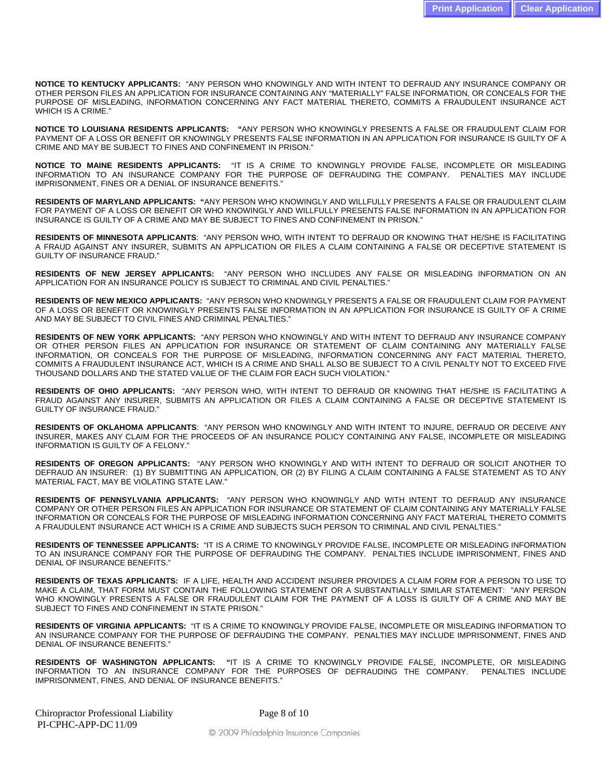**NOTICE TO KENTUCKY APPLICANTS:** "ANY PERSON WHO KNOWINGLY AND WITH INTENT TO DEFRAUD ANY INSURANCE COMPANY OR OTHER PERSON FILES AN APPLICATION FOR INSURANCE CONTAINING ANY "MATERIALLY" FALSE INFORMATION, OR CONCEALS FOR THE PURPOSE OF MISLEADING, INFORMATION CONCERNING ANY FACT MATERIAL THERETO, COMMITS A FRAUDULENT INSURANCE ACT WHICH IS A CRIME."

**NOTICE TO LOUISIANA RESIDENTS APPLICANTS: "**ANY PERSON WHO KNOWINGLY PRESENTS A FALSE OR FRAUDULENT CLAIM FOR PAYMENT OF A LOSS OR BENEFIT OR KNOWINGLY PRESENTS FALSE INFORMATION IN AN APPLICATION FOR INSURANCE IS GUILTY OF A CRIME AND MAY BE SUBJECT TO FINES AND CONFINEMENT IN PRISON."

**NOTICE TO MAINE RESIDENTS APPLICANTS:** "IT IS A CRIME TO KNOWINGLY PROVIDE FALSE, INCOMPLETE OR MISLEADING INFORMATION TO AN INSURANCE COMPANY FOR THE PURPOSE OF DEFRAUDING THE COMPANY. PENALTIES MAY INCLUDE IMPRISONMENT, FINES OR A DENIAL OF INSURANCE BENEFITS."

**RESIDENTS OF MARYLAND APPLICANTS: "**ANY PERSON WHO KNOWINGLY AND WILLFULLY PRESENTS A FALSE OR FRAUDULENT CLAIM FOR PAYMENT OF A LOSS OR BENEFIT OR WHO KNOWINGLY AND WILLFULLY PRESENTS FALSE INFORMATION IN AN APPLICATION FOR INSURANCE IS GUILTY OF A CRIME AND MAY BE SUBJECT TO FINES AND CONFINEMENT IN PRISON."

**RESIDENTS OF MINNESOTA APPLICANTS**: "ANY PERSON WHO, WITH INTENT TO DEFRAUD OR KNOWING THAT HE/SHE IS FACILITATING A FRAUD AGAINST ANY INSURER, SUBMITS AN APPLICATION OR FILES A CLAIM CONTAINING A FALSE OR DECEPTIVE STATEMENT IS GUILTY OF INSURANCE FRAUD."

**RESIDENTS OF NEW JERSEY APPLICANTS:** "ANY PERSON WHO INCLUDES ANY FALSE OR MISLEADING INFORMATION ON AN APPLICATION FOR AN INSURANCE POLICY IS SUBJECT TO CRIMINAL AND CIVIL PENALTIES."

**RESIDENTS OF NEW MEXICO APPLICANTS:** "ANY PERSON WHO KNOWINGLY PRESENTS A FALSE OR FRAUDULENT CLAIM FOR PAYMENT OF A LOSS OR BENEFIT OR KNOWINGLY PRESENTS FALSE INFORMATION IN AN APPLICATION FOR INSURANCE IS GUILTY OF A CRIME AND MAY BE SUBJECT TO CIVIL FINES AND CRIMINAL PENALTIES."

**RESIDENTS OF NEW YORK APPLICANTS:** "ANY PERSON WHO KNOWINGLY AND WITH INTENT TO DEFRAUD ANY INSURANCE COMPANY OR OTHER PERSON FILES AN APPLICATION FOR INSURANCE OR STATEMENT OF CLAIM CONTAINING ANY MATERIALLY FALSE INFORMATION, OR CONCEALS FOR THE PURPOSE OF MISLEADING, INFORMATION CONCERNING ANY FACT MATERIAL THERETO, COMMITS A FRAUDULENT INSURANCE ACT, WHICH IS A CRIME AND SHALL ALSO BE SUBJECT TO A CIVIL PENALTY NOT TO EXCEED FIVE THOUSAND DOLLARS AND THE STATED VALUE OF THE CLAIM FOR EACH SUCH VIOLATION."

**RESIDENTS OF OHIO APPLICANTS:** "ANY PERSON WHO, WITH INTENT TO DEFRAUD OR KNOWING THAT HE/SHE IS FACILITATING A FRAUD AGAINST ANY INSURER, SUBMITS AN APPLICATION OR FILES A CLAIM CONTAINING A FALSE OR DECEPTIVE STATEMENT IS GUILTY OF INSURANCE FRAUD."

**RESIDENTS OF OKLAHOMA APPLICANTS**: "ANY PERSON WHO KNOWINGLY AND WITH INTENT TO INJURE, DEFRAUD OR DECEIVE ANY INSURER, MAKES ANY CLAIM FOR THE PROCEEDS OF AN INSURANCE POLICY CONTAINING ANY FALSE, INCOMPLETE OR MISLEADING INFORMATION IS GUILTY OF A FELONY."

**RESIDENTS OF OREGON APPLICANTS:** "ANY PERSON WHO KNOWINGLY AND WITH INTENT TO DEFRAUD OR SOLICIT ANOTHER TO DEFRAUD AN INSURER: (1) BY SUBMITTING AN APPLICATION, OR (2) BY FILING A CLAIM CONTAINING A FALSE STATEMENT AS TO ANY MATERIAL FACT, MAY BE VIOLATING STATE LAW."

**RESIDENTS OF PENNSYLVANIA APPLICANTS:** "ANY PERSON WHO KNOWINGLY AND WITH INTENT TO DEFRAUD ANY INSURANCE COMPANY OR OTHER PERSON FILES AN APPLICATION FOR INSURANCE OR STATEMENT OF CLAIM CONTAINING ANY MATERIALLY FALSE INFORMATION OR CONCEALS FOR THE PURPOSE OF MISLEADING INFORMATION CONCERNING ANY FACT MATERIAL THERETO COMMITS A FRAUDULENT INSURANCE ACT WHICH IS A CRIME AND SUBJECTS SUCH PERSON TO CRIMINAL AND CIVIL PENALTIES."

**RESIDENTS OF TENNESSEE APPLICANTS:** "IT IS A CRIME TO KNOWINGLY PROVIDE FALSE, INCOMPLETE OR MISLEADING INFORMATION TO AN INSURANCE COMPANY FOR THE PURPOSE OF DEFRAUDING THE COMPANY. PENALTIES INCLUDE IMPRISONMENT, FINES AND DENIAL OF INSURANCE BENEFITS."

**RESIDENTS OF TEXAS APPLICANTS:** IF A LIFE, HEALTH AND ACCIDENT INSURER PROVIDES A CLAIM FORM FOR A PERSON TO USE TO MAKE A CLAIM, THAT FORM MUST CONTAIN THE FOLLOWING STATEMENT OR A SUBSTANTIALLY SIMILAR STATEMENT: "ANY PERSON WHO KNOWINGLY PRESENTS A FALSE OR FRAUDULENT CLAIM FOR THE PAYMENT OF A LOSS IS GUILTY OF A CRIME AND MAY BE SUBJECT TO FINES AND CONFINEMENT IN STATE PRISON."

**RESIDENTS OF VIRGINIA APPLICANTS:** "IT IS A CRIME TO KNOWINGLY PROVIDE FALSE, INCOMPLETE OR MISLEADING INFORMATION TO AN INSURANCE COMPANY FOR THE PURPOSE OF DEFRAUDING THE COMPANY. PENALTIES MAY INCLUDE IMPRISONMENT, FINES AND DENIAL OF INSURANCE BENEFITS."

**RESIDENTS OF WASHINGTON APPLICANTS: "**IT IS A CRIME TO KNOWINGLY PROVIDE FALSE, INCOMPLETE, OR MISLEADING INFORMATION TO AN INSURANCE COMPANY FOR THE PURPOSES OF DEFRAUDING THE COMPANY. PENALTIES INCLUDE IMPRISONMENT, FINES, AND DENIAL OF INSURANCE BENEFITS."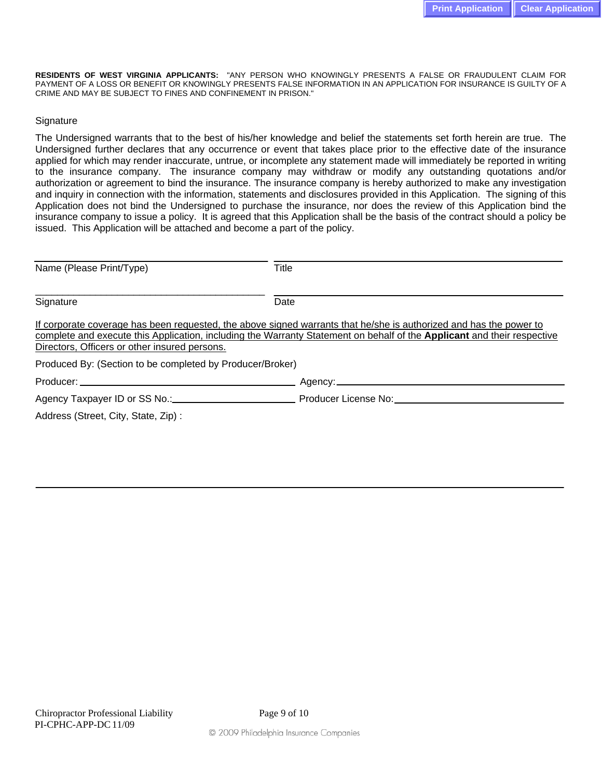**RESIDENTS OF WEST VIRGINIA APPLICANTS:** "ANY PERSON WHO KNOWINGLY PRESENTS A FALSE OR FRAUDULENT CLAIM FOR PAYMENT OF A LOSS OR BENEFIT OR KNOWINGLY PRESENTS FALSE INFORMATION IN AN APPLICATION FOR INSURANCE IS GUILTY OF A CRIME AND MAY BE SUBJECT TO FINES AND CONFINEMENT IN PRISON."

### **Signature**

The Undersigned warrants that to the best of his/her knowledge and belief the statements set forth herein are true. The Undersigned further declares that any occurrence or event that takes place prior to the effective date of the insurance applied for which may render inaccurate, untrue, or incomplete any statement made will immediately be reported in writing to the insurance company. The insurance company may withdraw or modify any outstanding quotations and/or authorization or agreement to bind the insurance. The insurance company is hereby authorized to make any investigation and inquiry in connection with the information, statements and disclosures provided in this Application. The signing of this Application does not bind the Undersigned to purchase the insurance, nor does the review of this Application bind the insurance company to issue a policy. It is agreed that this Application shall be the basis of the contract should a policy be issued. This Application will be attached and become a part of the policy.

| Name (Please Print/Type)                                  | Title                                                                                                                                                                                                                                         |
|-----------------------------------------------------------|-----------------------------------------------------------------------------------------------------------------------------------------------------------------------------------------------------------------------------------------------|
| Signature                                                 | Date                                                                                                                                                                                                                                          |
| Directors, Officers or other insured persons.             | If corporate coverage has been requested, the above signed warrants that he/she is authorized and has the power to<br>complete and execute this Application, including the Warranty Statement on behalf of the Applicant and their respective |
| Produced By: (Section to be completed by Producer/Broker) |                                                                                                                                                                                                                                               |
|                                                           |                                                                                                                                                                                                                                               |
|                                                           |                                                                                                                                                                                                                                               |
| Address (Street, City, State, Zip):                       |                                                                                                                                                                                                                                               |
|                                                           |                                                                                                                                                                                                                                               |